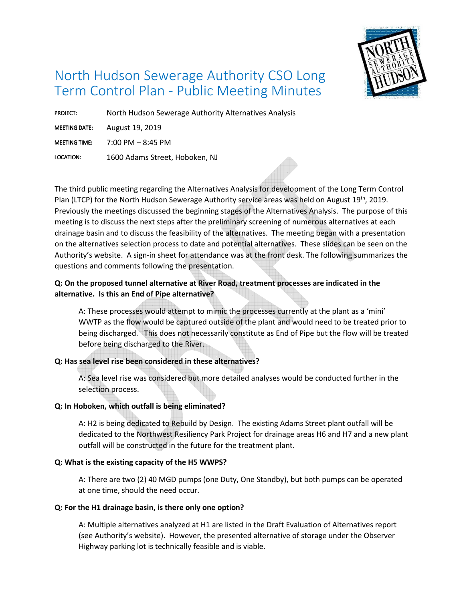

# North Hudson Sewerage Authority CSO Long Term Control Plan - Public Meeting Minutes

PROJECT: North Hudson Sewerage Authority Alternatives Analysis

MEETING DATE: August 19, 2019

MEETING TIME:  $7:00$  PM  $-8:45$  PM

LOCATION: LOCATION: 1600 Adams Street, Hoboken, NJ

The third public meeting regarding the Alternatives Analysis for development of the Long Term Control Plan (LTCP) for the North Hudson Sewerage Authority service areas was held on August 19<sup>th</sup>, 2019. Previously the meetings discussed the beginning stages of the Alternatives Analysis. The purpose of this meeting is to discuss the next steps after the preliminary screening of numerous alternatives at each drainage basin and to discuss the feasibility of the alternatives. The meeting began with a presentation on the alternatives selection process to date and potential alternatives. These slides can be seen on the Authority's website. A sign-in sheet for attendance was at the front desk. The following summarizes the questions and comments following the presentation.

# **Q: On the proposed tunnel alternative at River Road, treatment processes are indicated in the alternative. Is this an End of Pipe alternative?**

 A: These processes would attempt to mimic the processes currently at the plant as a 'mini' WWTP as the flow would be captured outside of the plant and would need to be treated prior to being discharged. This does not necessarily constitute as End of Pipe but the flow will be treated before being discharged to the River.

# **Q: Has sea level rise been considered in these alternatives?**

 A: Sea level rise was considered but more detailed analyses would be conducted further in the selection process.

# **Q: In Hoboken, which outfall is being eliminated?**

 A: H2 is being dedicated to Rebuild by Design. The existing Adams Street plant outfall will be dedicated to the Northwest Resiliency Park Project for drainage areas H6 and H7 and a new plant outfall will be constructed in the future for the treatment plant.

# **Q: What is the existing capacity of the H5 WWPS?**

 A: There are two (2) 40 MGD pumps (one Duty, One Standby), but both pumps can be operated at one time, should the need occur.

# **Q: For the H1 drainage basin, is there only one option?**

 A: Multiple alternatives analyzed at H1 are listed in the Draft Evaluation of Alternatives report (see Authority's website). However, the presented alternative of storage under the Observer Highway parking lot is technically feasible and is viable.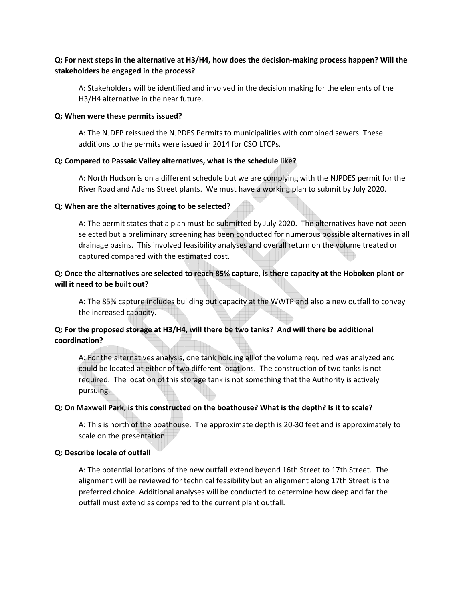## **Q: For next steps in the alternative at H3/H4, how does the decision-making process happen? Will the stakeholders be engaged in the process?**

 A: Stakeholders will be identified and involved in the decision making for the elements of the H3/H4 alternative in the near future.

#### **Q: When were these permits issued?**

 A: The NJDEP reissued the NJPDES Permits to municipalities with combined sewers. These additions to the permits were issued in 2014 for CSO LTCPs.

#### **Q: Compared to Passaic Valley alternatives, what is the schedule like?**

 A: North Hudson is on a different schedule but we are complying with the NJPDES permit for the River Road and Adams Street plants. We must have a working plan to submit by July 2020.

#### **Q: When are the alternatives going to be selected?**

 A: The permit states that a plan must be submitted by July 2020. The alternatives have not been selected but a preliminary screening has been conducted for numerous possible alternatives in all drainage basins. This involved feasibility analyses and overall return on the volume treated or captured compared with the estimated cost.

## **Q: Once the alternatives are selected to reach 85% capture, is there capacity at the Hoboken plant or will it need to be built out?**

 A: The 85% capture includes building out capacity at the WWTP and also a new outfall to convey the increased capacity.

## **Q: For the proposed storage at H3/H4, will there be two tanks? And will there be additional coordination?**

 A: For the alternatives analysis, one tank holding all of the volume required was analyzed and could be located at either of two different locations. The construction of two tanks is not required. The location of this storage tank is not something that the Authority is actively pursuing.

## **Q: On Maxwell Park, is this constructed on the boathouse? What is the depth? Is it to scale?**

 A: This is north of the boathouse. The approximate depth is 20-30 feet and is approximately to scale on the presentation.

#### **Q: Describe locale of outfall**

A: The potential locations of the new outfall extend beyond 16th Street to 17th Street. The alignment will be reviewed for technical feasibility but an alignment along 17th Street is the preferred choice. Additional analyses will be conducted to determine how deep and far the outfall must extend as compared to the current plant outfall.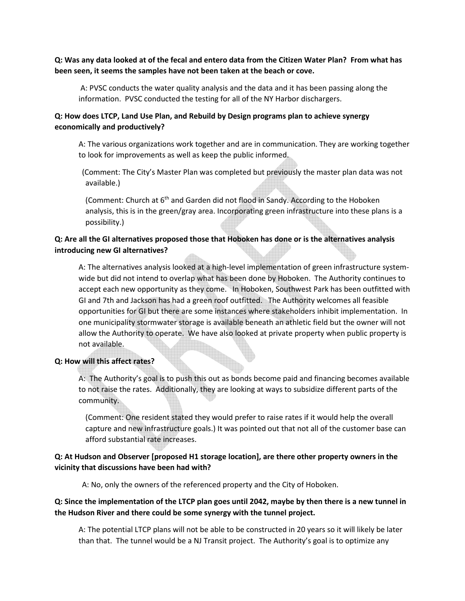## **Q: Was any data looked at of the fecal and entero data from the Citizen Water Plan? From what has been seen, it seems the samples have not been taken at the beach or cove.**

 A: PVSC conducts the water quality analysis and the data and it has been passing along the information. PVSC conducted the testing for all of the NY Harbor dischargers.

#### **Q: How does LTCP, Land Use Plan, and Rebuild by Design programs plan to achieve synergy economically and productively?**

 A: The various organizations work together and are in communication. They are working together to look for improvements as well as keep the public informed.

(Comment: The City's Master Plan was completed but previously the master plan data was not available.)

(Comment: Church at 6<sup>th</sup> and Garden did not flood in Sandy. According to the Hoboken analysis, this is in the green/gray area. Incorporating green infrastructure into these plans is a possibility.)

## **Q: Are all the GI alternatives proposed those that Hoboken has done or is the alternatives analysis introducing new GI alternatives?**

 A: The alternatives analysis looked at a high-level implementation of green infrastructure systemwide but did not intend to overlap what has been done by Hoboken. The Authority continues to accept each new opportunity as they come. In Hoboken, Southwest Park has been outfitted with GI and 7th and Jackson has had a green roof outfitted. The Authority welcomes all feasible opportunities for GI but there are some instances where stakeholders inhibit implementation. In one municipality stormwater storage is available beneath an athletic field but the owner will not allow the Authority to operate. We have also looked at private property when public property is not available.

#### **Q: How will this affect rates?**

A: The Authority's goal is to push this out as bonds become paid and financing becomes available to not raise the rates. Additionally, they are looking at ways to subsidize different parts of the community.

(Comment: One resident stated they would prefer to raise rates if it would help the overall capture and new infrastructure goals.) It was pointed out that not all of the customer base can afford substantial rate increases.

## **Q: At Hudson and Observer [proposed H1 storage location], are there other property owners in the vicinity that discussions have been had with?**

A: No, only the owners of the referenced property and the City of Hoboken.

## **Q: Since the implementation of the LTCP plan goes until 2042, maybe by then there is a new tunnel in the Hudson River and there could be some synergy with the tunnel project.**

 A: The potential LTCP plans will not be able to be constructed in 20 years so it will likely be later than that. The tunnel would be a NJ Transit project. The Authority's goal is to optimize any